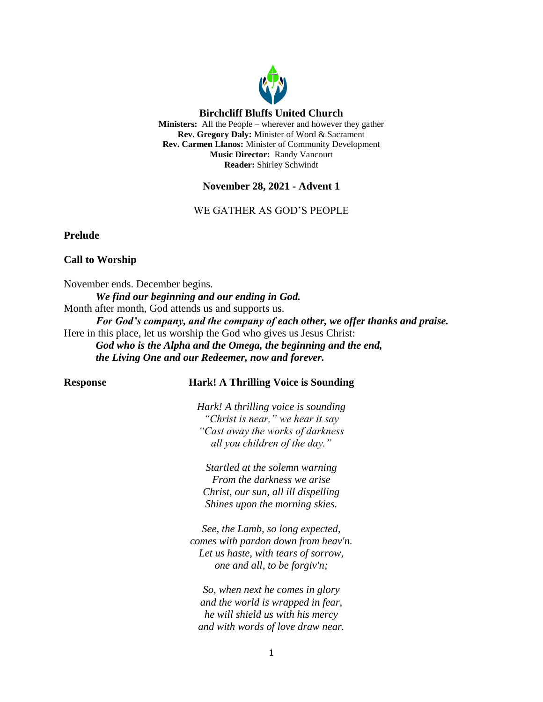

# **November 28, 2021 - Advent 1**

# WE GATHER AS GOD'S PEOPLE

**Prelude**

# **Call to Worship**

November ends. December begins. *We find our beginning and our ending in God.* Month after month, God attends us and supports us. *For God's company, and the company of each other, we offer thanks and praise.* Here in this place, let us worship the God who gives us Jesus Christ: *God who is the Alpha and the Omega, the beginning and the end, the Living One and our Redeemer, now and forever.*

# **Response Hark! A Thrilling Voice is Sounding**

*Hark! A thrilling voice is sounding "Christ is near," we hear it say "Cast away the works of darkness all you children of the day."*

*Startled at the solemn warning From the darkness we arise Christ, our sun, all ill dispelling Shines upon the morning skies.*

*See, the Lamb, so long expected, comes with pardon down from heav'n. Let us haste, with tears of sorrow, one and all, to be forgiv'n;*

*So, when next he comes in glory and the world is wrapped in fear, he will shield us with his mercy and with words of love draw near.*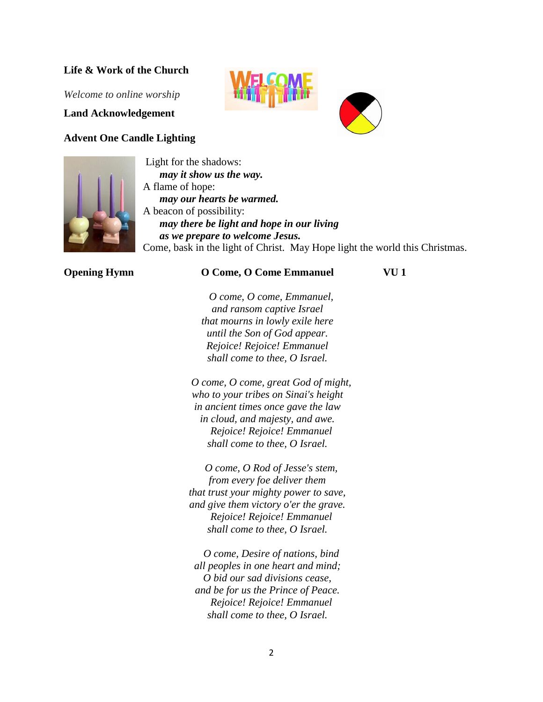# **Life & Work of the Church**

*Welcome to online worship*

**Land Acknowledgement**

# **Advent One Candle Lighting**



Light for the shadows: *may it show us the way.* A flame of hope: *may our hearts be warmed.* A beacon of possibility: *may there be light and hope in our living as we prepare to welcome Jesus.* Come, bask in the light of Christ. May Hope light the world this Christmas.

#### **Opening Hymn O Come, O Come Emmanuel VU 1**

*O come, O come, Emmanuel, and ransom captive Israel that mourns in lowly exile here until the Son of God appear. Rejoice! Rejoice! Emmanuel shall come to thee, O Israel.*

*O come, O come, great God of might, who to your tribes on Sinai's height in ancient times once gave the law in cloud, and majesty, and awe. Rejoice! Rejoice! Emmanuel shall come to thee, O Israel.*

*O come, O Rod of Jesse's stem, from every foe deliver them that trust your mighty power to save, and give them victory o'er the grave. Rejoice! Rejoice! Emmanuel shall come to thee, O Israel.*

*O come, Desire of nations, bind all peoples in one heart and mind; O bid our sad divisions cease, and be for us the Prince of Peace. Rejoice! Rejoice! Emmanuel shall come to thee, O Israel.*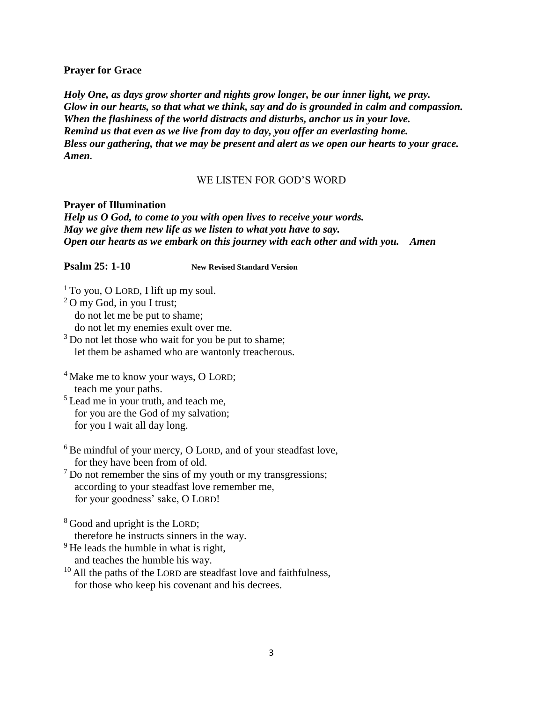# **Prayer for Grace**

*Holy One, as days grow shorter and nights grow longer, be our inner light, we pray. Glow in our hearts, so that what we think, say and do is grounded in calm and compassion. When the flashiness of the world distracts and disturbs, anchor us in your love. Remind us that even as we live from day to day, you offer an everlasting home. Bless our gathering, that we may be present and alert as we open our hearts to your grace. Amen.* 

# WE LISTEN FOR GOD'S WORD

**Prayer of Illumination** *Help us O God, to come to you with open lives to receive your words. May we give them new life as we listen to what you have to say. Open our hearts as we embark on this journey with each other and with you. Amen*

**Psalm 25: 1-10 New Revised Standard Version**

 $1$  To you, O LORD, I lift up my soul. <sup>2</sup> O my God, in you I trust; do not let me be put to shame;

do not let my enemies exult over me.

<sup>3</sup> Do not let those who wait for you be put to shame; let them be ashamed who are wantonly treacherous.

<sup>4</sup> Make me to know your ways, O LORD; teach me your paths.

<sup>5</sup> Lead me in your truth, and teach me, for you are the God of my salvation; for you I wait all day long.

<sup>6</sup> Be mindful of your mercy, O LORD, and of your steadfast love, for they have been from of old.

 $<sup>7</sup>$  Do not remember the sins of my youth or my transgressions;</sup> according to your steadfast love remember me, for your goodness' sake, O LORD!

<sup>8</sup> Good and upright is the LORD: therefore he instructs sinners in the way.

 $9$  He leads the humble in what is right,

- and teaches the humble his way.
- $10$  All the paths of the LORD are steadfast love and faithfulness, for those who keep his covenant and his decrees.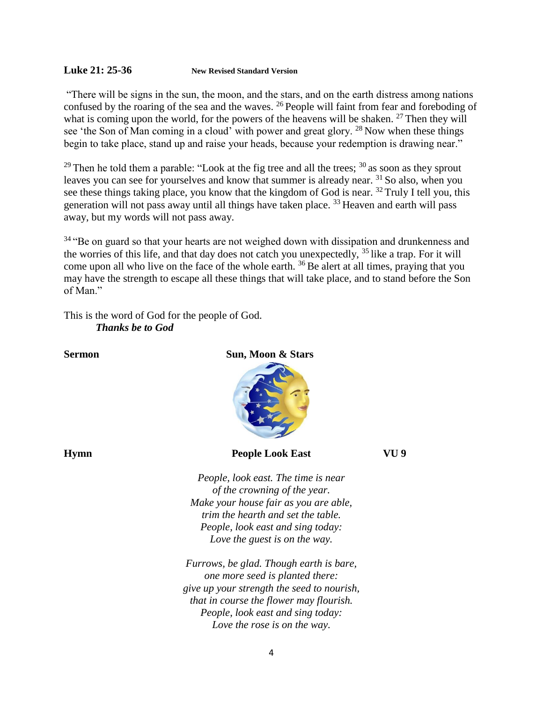# **Luke 21: 25-36 New Revised Standard Version**

"There will be signs in the sun, the moon, and the stars, and on the earth distress among nations confused by the roaring of the sea and the waves. <sup>26</sup> People will faint from fear and foreboding of what is coming upon the world, for the powers of the heavens will be shaken.  $27$  Then they will see 'the Son of Man coming in a cloud' with power and great glory. <sup>28</sup> Now when these things begin to take place, stand up and raise your heads, because your redemption is drawing near."

 $29$  Then he told them a parable: "Look at the fig tree and all the trees;  $30$  as soon as they sprout leaves you can see for yourselves and know that summer is already near. <sup>31</sup> So also, when you see these things taking place, you know that the kingdom of God is near. <sup>32</sup> Truly I tell you, this generation will not pass away until all things have taken place. <sup>33</sup> Heaven and earth will pass away, but my words will not pass away.

<sup>34</sup> "Be on guard so that your hearts are not weighed down with dissipation and drunkenness and the worries of this life, and that day does not catch you unexpectedly,  $35$  like a trap. For it will come upon all who live on the face of the whole earth. <sup>36</sup> Be alert at all times, praying that you may have the strength to escape all these things that will take place, and to stand before the Son of Man."

This is the word of God for the people of God. *Thanks be to God*

# **Sermon** Sun, Moon & Stars

# **Hymn People Look East VU 9**

*People, look east. The time is near of the crowning of the year. Make your house fair as you are able, trim the hearth and set the table. People, look east and sing today: Love the guest is on the way.*

*Furrows, be glad. Though earth is bare, one more seed is planted there: give up your strength the seed to nourish, that in course the flower may flourish. People, look east and sing today: Love the rose is on the way.*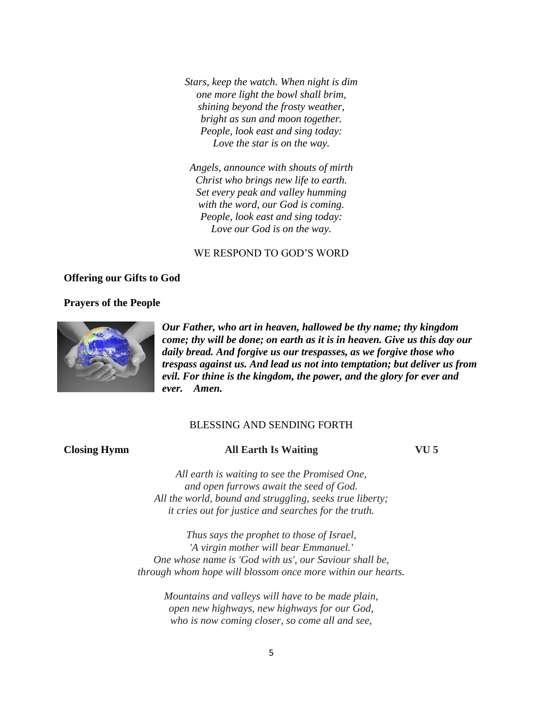*Stars, keep the watch. When night is dim one more light the bowl shall brim, shining beyond the frosty weather, bright as sun and moon together. People, look east and sing today: Love the star is on the way.*

*Angels, announce with shouts of mirth Christ who brings new life to earth. Set every peak and valley humming with the word, our God is coming. People, look east and sing today: Love our God is on the way.*

# WE RESPOND TO GOD'S WORD

# **Offering our Gifts to God**

#### **Prayers of the People**



*Our Father, who art in heaven, hallowed be thy name; thy kingdom come; thy will be done; on earth as it is in heaven. Give us this day our daily bread. And forgive us our trespasses, as we forgive those who trespass against us. And lead us not into temptation; but deliver us from evil. For thine is the kingdom, the power, and the glory for ever and ever. Amen.*

# BLESSING AND SENDING FORTH

# **Closing Hymn All Earth Is Waiting VU 5**

*All earth is waiting to see the Promised One, and open furrows await the seed of God. All the world, bound and struggling, seeks true liberty; it cries out for justice and searches for the truth.*

*Thus says the prophet to those of Israel, 'A virgin mother will bear Emmanuel.' One whose name is 'God with us', our Saviour shall be, through whom hope will blossom once more within our hearts.*

*Mountains and valleys will have to be made plain, open new highways, new highways for our God, who is now coming closer, so come all and see,*